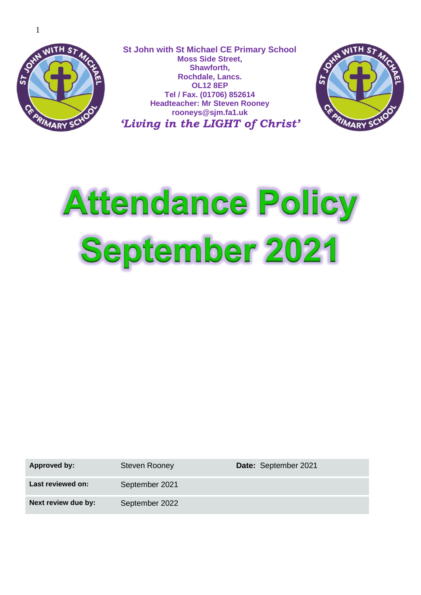

**St John with St Michael CE Primary School Moss Side Street, Shawforth, Rochdale, Lancs. OL12 8EP Tel / Fax. (01706) 852614 Headteacher: Mr Steven Rooney rooneys@sjm.fa1.uk** *'Living in the LIGHT of Christ'*



# **Attendance Policy** September 2021

Approved by: Steven Rooney **Date:** September 2021 **Last reviewed on:** September 2021 **Next review due by:** September 2022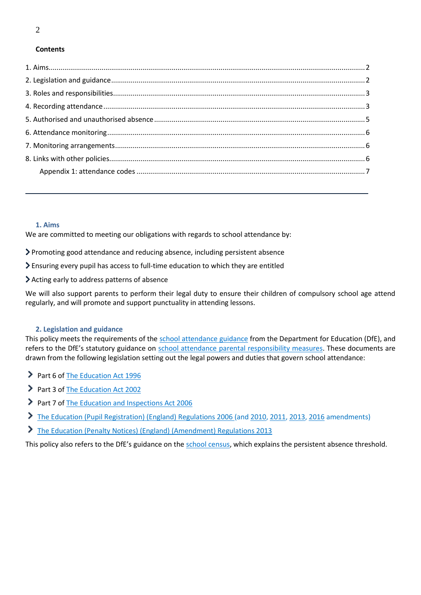#### **Contents**

#### <span id="page-1-0"></span>**1. Aims**

We are committed to meeting our obligations with regards to school attendance by:

Promoting good attendance and reducing absence, including persistent absence

Ensuring every pupil has access to full-time education to which they are entitled

Acting early to address patterns of absence

We will also support parents to perform their legal duty to ensure their children of compulsory school age attend regularly, and will promote and support punctuality in attending lessons.

#### <span id="page-1-1"></span>**2. Legislation and guidance**

This policy meets the requirements of the [school attendance guidance](https://www.gov.uk/government/publications/school-attendance) from the Department for Education (DfE), and refers to the DfE's statutory guidance on [school attendance parental responsibility measures.](https://www.gov.uk/government/publications/parental-responsibility-measures-for-behaviour-and-attendance) These documents are drawn from the following legislation setting out the legal powers and duties that govern school attendance:

- Part 6 o[f The Education Act 1996](https://www.legislation.gov.uk/ukpga/1996/56/part/VI/chapter/II)
- Part 3 o[f The Education Act 2002](http://www.legislation.gov.uk/ukpga/2002/32/part/3/chapter/3)
- Part 7 o[f The Education and Inspections Act 2006](http://www.legislation.gov.uk/ukpga/2006/40/part/7/chapter/2/crossheading/school-attendance)
- [The Education \(Pupil Registration\) \(England\) Regulations 2006](http://www.legislation.gov.uk/uksi/2006/1751/contents/made) (and [2010,](https://www.legislation.gov.uk/uksi/2010/1725/regulation/2/made) [2011,](https://www.legislation.gov.uk/uksi/2011/1625/made) [2013,](https://www.legislation.gov.uk/uksi/2013/756/made) [2016](https://www.legislation.gov.uk/uksi/2016/792/made/data.html) amendments)
- [The Education \(Penalty Notices\) \(England\) \(Amendment\) Regulations 2013](https://www.legislation.gov.uk/uksi/2013/757/regulation/2/made)

<span id="page-1-2"></span>This policy also refers to the DfE's guidance on the [school census,](https://www.gov.uk/guidance/complete-the-school-census) which explains the persistent absence threshold.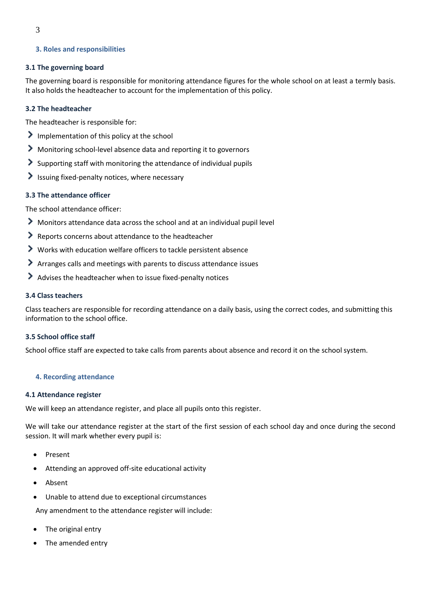### **3. Roles and responsibilities**

#### **3.1 The governing board**

The governing board is responsible for monitoring attendance figures for the whole school on at least a termly basis. It also holds the headteacher to account for the implementation of this policy.

#### **3.2 The headteacher**

The headteacher is responsible for:

- $\sum$  Implementation of this policy at the school
- Monitoring school-level absence data and reporting it to governors
- Supporting staff with monitoring the attendance of individual pupils
- $\blacktriangleright$  Issuing fixed-penalty notices, where necessary

#### **3.3 The attendance officer**

The school attendance officer:

- Monitors attendance data across the school and at an individual pupil level
- Reports concerns about attendance to the headteacher
- Works with education welfare officers to tackle persistent absence
- Arranges calls and meetings with parents to discuss attendance issues
- Advises the headteacher when to issue fixed-penalty notices

#### **3.4 Class teachers**

Class teachers are responsible for recording attendance on a daily basis, using the correct codes, and submitting this information to the school office.

## **3.5 School office staff**

School office staff are expected to take calls from parents about absence and record it on the school system.

#### <span id="page-2-0"></span>**4. Recording attendance**

#### **4.1 Attendance register**

We will keep an attendance register, and place all pupils onto this register.

We will take our attendance register at the start of the first session of each school day and once during the second session. It will mark whether every pupil is:

- Present
- Attending an approved off-site educational activity
- Absent
- Unable to attend due to exceptional circumstances

Any amendment to the attendance register will include:

- The original entry
- The amended entry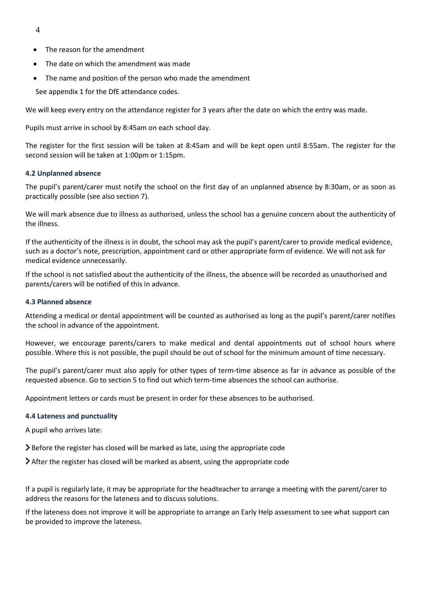- 4
- The reason for the amendment
- The date on which the amendment was made
- The name and position of the person who made the amendment

See appendix 1 for the DfE attendance codes.

We will keep every entry on the attendance register for 3 years after the date on which the entry was made.

Pupils must arrive in school by 8:45am on each school day.

The register for the first session will be taken at 8:45am and will be kept open until 8:55am. The register for the second session will be taken at 1:00pm or 1:15pm.

#### **4.2 Unplanned absence**

The pupil's parent/carer must notify the school on the first day of an unplanned absence by 8:30am, or as soon as practically possible (see also section 7).

We will mark absence due to illness as authorised, unless the school has a genuine concern about the authenticity of the illness.

If the authenticity of the illness is in doubt, the school may ask the pupil's parent/carer to provide medical evidence, such as a doctor's note, prescription, appointment card or other appropriate form of evidence. We will not ask for medical evidence unnecessarily.

If the school is not satisfied about the authenticity of the illness, the absence will be recorded as unauthorised and parents/carers will be notified of this in advance.

#### **4.3 Planned absence**

Attending a medical or dental appointment will be counted as authorised as long as the pupil's parent/carer notifies the school in advance of the appointment.

However, we encourage parents/carers to make medical and dental appointments out of school hours where possible. Where this is not possible, the pupil should be out of school for the minimum amount of time necessary.

The pupil's parent/carer must also apply for other types of term-time absence as far in advance as possible of the requested absence. Go to section 5 to find out which term-time absences the school can authorise.

Appointment letters or cards must be present in order for these absences to be authorised.

#### **4.4 Lateness and punctuality**

A pupil who arrives late:

 $\geq$  Before the register has closed will be marked as late, using the appropriate code

 $\blacktriangleright$  After the register has closed will be marked as absent, using the appropriate code

If a pupil is regularly late, it may be appropriate for the headteacher to arrange a meeting with the parent/carer to address the reasons for the lateness and to discuss solutions.

If the lateness does not improve it will be appropriate to arrange an Early Help assessment to see what support can be provided to improve the lateness.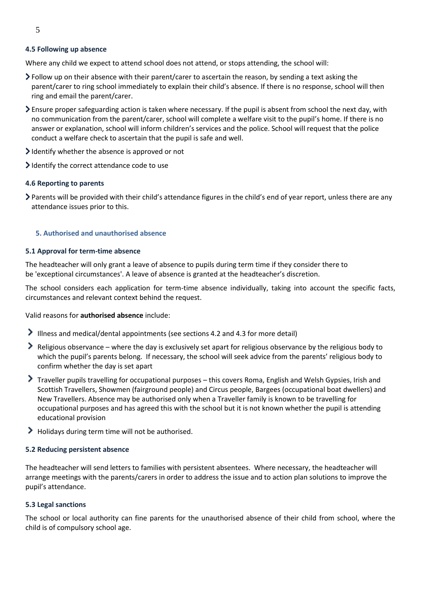#### **4.5 Following up absence**

Where any child we expect to attend school does not attend, or stops attending, the school will:

- Follow up on their absence with their parent/carer to ascertain the reason, by sending a text asking the parent/carer to ring school immediately to explain their child's absence. If there is no response, school will then ring and email the parent/carer.
- Ensure proper safeguarding action is taken where necessary. If the pupil is absent from school the next day, with no communication from the parent/carer, school will complete a welfare visit to the pupil's home. If there is no answer or explanation, school will inform children's services and the police. School will request that the police conduct a welfare check to ascertain that the pupil is safe and well.
- I dentify whether the absence is approved or not
- I dentify the correct attendance code to use

#### **4.6 Reporting to parents**

Parents will be provided with their child's attendance figures in the child's end of year report, unless there are any attendance issues prior to this.

#### <span id="page-4-0"></span>**5. Authorised and unauthorised absence**

#### **5.1 Approval for term-time absence**

The headteacher will only grant a leave of absence to pupils during term time if they consider there to be 'exceptional circumstances'. A leave of absence is granted at the headteacher's discretion.

The school considers each application for term-time absence individually, taking into account the specific facts, circumstances and relevant context behind the request.

Valid reasons for **authorised absence** include:

- Illness and medical/dental appointments (see sections 4.2 and 4.3 for more detail)
- Religious observance where the day is exclusively set apart for religious observance by the religious body to which the pupil's parents belong. If necessary, the school will seek advice from the parents' religious body to confirm whether the day is set apart
- Traveller pupils travelling for occupational purposes this covers Roma, English and Welsh Gypsies, Irish and Scottish Travellers, Showmen (fairground people) and Circus people, Bargees (occupational boat dwellers) and New Travellers. Absence may be authorised only when a Traveller family is known to be travelling for occupational purposes and has agreed this with the school but it is not known whether the pupil is attending educational provision
- Holidays during term time will not be authorised.

#### **5.2 Reducing persistent absence**

The headteacher will send letters to families with persistent absentees. Where necessary, the headteacher will arrange meetings with the parents/carers in order to address the issue and to action plan solutions to improve the pupil's attendance.

#### **5.3 Legal sanctions**

The school or local authority can fine parents for the unauthorised absence of their child from school, where the child is of compulsory school age.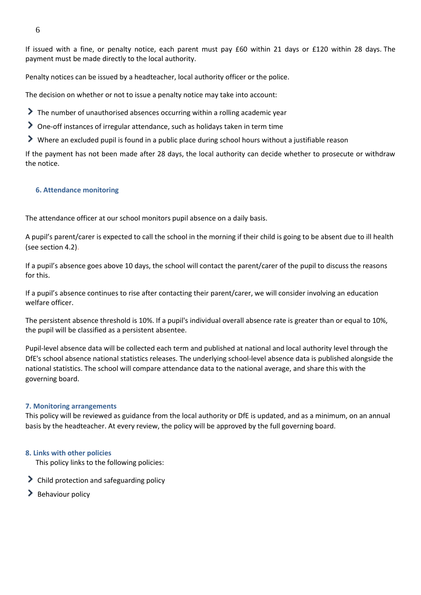If issued with a fine, or penalty notice, each parent must pay £60 within 21 days or £120 within 28 days. The payment must be made directly to the local authority.

Penalty notices can be issued by a headteacher, local authority officer or the police.

The decision on whether or not to issue a penalty notice may take into account:

- The number of unauthorised absences occurring within a rolling academic year
- One-off instances of irregular attendance, such as holidays taken in term time
- Where an excluded pupil is found in a public place during school hours without a justifiable reason

If the payment has not been made after 28 days, the local authority can decide whether to prosecute or withdraw the notice.

#### <span id="page-5-0"></span>**6. Attendance monitoring**

The attendance officer at our school monitors pupil absence on a daily basis.

A pupil's parent/carer is expected to call the school in the morning if their child is going to be absent due to ill health (see section 4.2).

If a pupil's absence goes above 10 days, the school will contact the parent/carer of the pupil to discuss the reasons for this.

If a pupil's absence continues to rise after contacting their parent/carer, we will consider involving an education welfare officer.

The persistent absence threshold is 10%. If a pupil's individual overall absence rate is greater than or equal to 10%, the pupil will be classified as a persistent absentee.

Pupil-level absence data will be collected each term and published at national and local authority level through the DfE's school absence national statistics releases. The underlying school-level absence data is published alongside the national statistics. The school will compare attendance data to the national average, and share this with the governing board.

#### <span id="page-5-1"></span>**7. Monitoring arrangements**

This policy will be reviewed as guidance from the local authority or DfE is updated, and as a minimum, on an annual basis by the headteacher. At every review, the policy will be approved by the full governing board.

#### <span id="page-5-2"></span>**8. Links with other policies**

This policy links to the following policies:

- > Child protection and safeguarding policy
- $\blacktriangleright$  Behaviour policy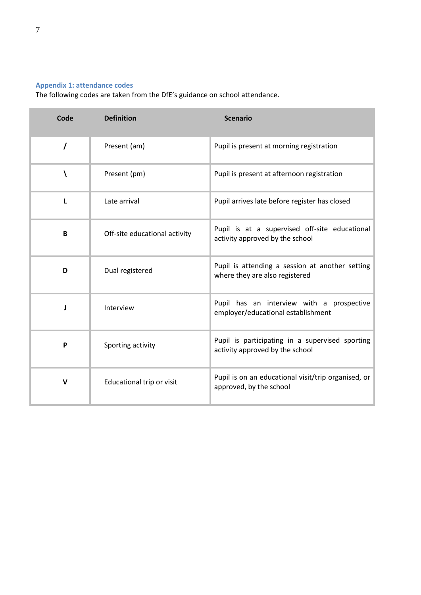## <span id="page-6-0"></span>**Appendix 1: attendance codes**

The following codes are taken from the DfE's guidance on school attendance.

| Code         | <b>Definition</b>             | <b>Scenario</b>                                                                    |
|--------------|-------------------------------|------------------------------------------------------------------------------------|
| $\prime$     | Present (am)                  | Pupil is present at morning registration                                           |
| V            | Present (pm)                  | Pupil is present at afternoon registration                                         |
| L            | Late arrival                  | Pupil arrives late before register has closed                                      |
| B            | Off-site educational activity | Pupil is at a supervised off-site educational<br>activity approved by the school   |
| D            | Dual registered               | Pupil is attending a session at another setting<br>where they are also registered  |
|              | Interview                     | Pupil has an interview with a prospective<br>employer/educational establishment    |
| P            | Sporting activity             | Pupil is participating in a supervised sporting<br>activity approved by the school |
| $\mathsf{v}$ | Educational trip or visit     | Pupil is on an educational visit/trip organised, or<br>approved, by the school     |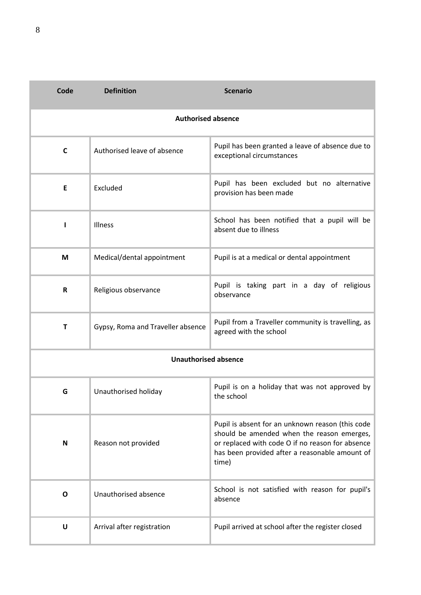| Code                        | <b>Definition</b>                 | <b>Scenario</b>                                                                                                                                                                                               |  |  |
|-----------------------------|-----------------------------------|---------------------------------------------------------------------------------------------------------------------------------------------------------------------------------------------------------------|--|--|
| <b>Authorised absence</b>   |                                   |                                                                                                                                                                                                               |  |  |
| C                           | Authorised leave of absence       | Pupil has been granted a leave of absence due to<br>exceptional circumstances                                                                                                                                 |  |  |
| E                           | Excluded                          | Pupil has been excluded but no alternative<br>provision has been made                                                                                                                                         |  |  |
| ı                           | Illness                           | School has been notified that a pupil will be<br>absent due to illness                                                                                                                                        |  |  |
| M                           | Medical/dental appointment        | Pupil is at a medical or dental appointment                                                                                                                                                                   |  |  |
| R                           | Religious observance              | Pupil is taking part in a day of religious<br>observance                                                                                                                                                      |  |  |
| $\mathbf T$                 | Gypsy, Roma and Traveller absence | Pupil from a Traveller community is travelling, as<br>agreed with the school                                                                                                                                  |  |  |
| <b>Unauthorised absence</b> |                                   |                                                                                                                                                                                                               |  |  |
| G                           | Unauthorised holiday              | Pupil is on a holiday that was not approved by<br>the school                                                                                                                                                  |  |  |
| N                           | Reason not provided               | Pupil is absent for an unknown reason (this code<br>should be amended when the reason emerges,<br>or replaced with code O if no reason for absence<br>has been provided after a reasonable amount of<br>time) |  |  |
| O                           | Unauthorised absence              | School is not satisfied with reason for pupil's<br>absence                                                                                                                                                    |  |  |
| $\mathsf U$                 | Arrival after registration        | Pupil arrived at school after the register closed                                                                                                                                                             |  |  |